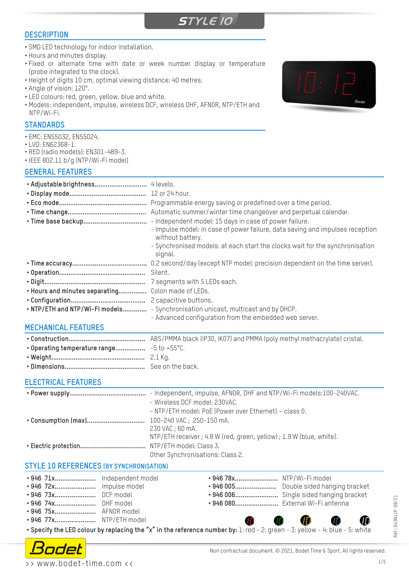### **DESCRIPTION**

- SMD LED technology for indoor installation.
- Hours and minutes display.
- Fixed or alternate time with date or week number display or temperature (probe integrated to the clock).
- Height of digits 10 cm, optimal viewing distance: 40 metres.
- Angle of vision: 120°.
- LED colours: red, green, yellow, blue and white.
- Models: independent, impulse, wireless DCF, wireless DHF, AFNOR, NTP/ETH and NTP/Wi-Fi.

#### **STANDARDS**

- EMC: EN55032, EN55024.
- LVD: EN62368-1.
- RED (radio models): EN301-489-3.
- IEEE 802.11 b/g (NTP/Wi-Fi model)

#### **GENERAL FEATURES**



### **ELECTRICAL FEATURES**

| - Independent, impulse, AFNOR, DHF and NTP/Wi-Fi models:100-240VAC.  |
|----------------------------------------------------------------------|
| - Wireless DCF model: 230VAC.                                        |
| - NTP/ETH model: PoE (Power over Ethernet) - class 0.                |
|                                                                      |
| 230 VAC; 60 mA.                                                      |
| NTP/ETH receiver ; 4.8 W (red, green, yellow) ; 1.9 W (blue, white). |
|                                                                      |
| Other Synchronisations: Class 2.                                     |
|                                                                      |

#### **STYLE 10 REFERENCES (BY SYNCHRONISATION)**

| • 946 73x DCF model                                                                                                          |  | • 946 78x NTP/Wi-Fi model        | • 946 006 Single sided hanging bracket |  |
|------------------------------------------------------------------------------------------------------------------------------|--|----------------------------------|----------------------------------------|--|
| • 946 74x DHF model<br>• 946 75x AFNOR model                                                                                 |  | • 946 080 External Wi-Fi antenna |                                        |  |
| • 946 77x NTP/ETH model                                                                                                      |  | $\mathbf{D}$ and $\mathbf{D}$    | $\mathbf{r}$<br>Œ                      |  |
| • Specify the LED colour by replacing the "x" in the reference number by: 1: red - 2: green - 3: yellow - 4: blue - 5: white |  |                                  |                                        |  |

>> www.bodet-time.com <<

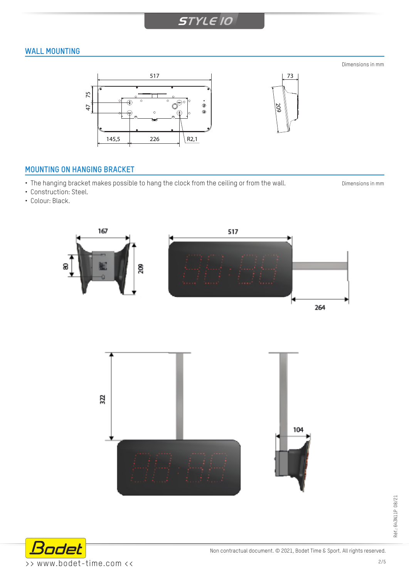## **WALL MOUNTING**

Dimensions in mm



# **MOUNTING ON HANGING BRACKET**

• The hanging bracket makes possible to hang the clock from the ceiling or from the wall.

Dimensions in mm

- Construction: Steel.
- Colour: Black.





Non contractual document. © 2021, Bodet Time & Sport. All rights reserved.

Réf.: 643N11P 08/21

Réf.: 643N11P 08/21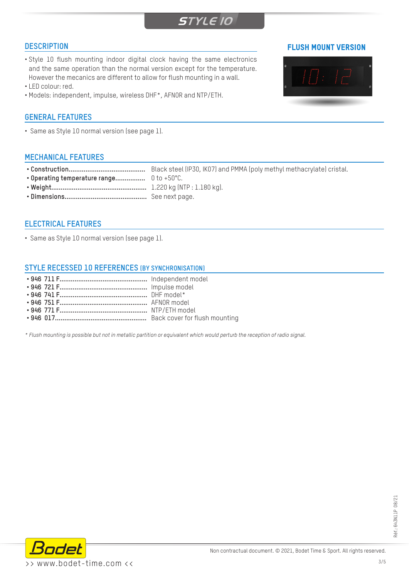### **DESCRIPTION**

- Style 10 flush mounting indoor digital clock having the same electronics and the same operation than the normal version except for the temperature. However the mecanics are different to allow for flush mounting in a wall.
- LED colour: red.
- Models: independent, impulse, wireless DHF\*, AFNOR and NTP/ETH.

#### **GENERAL FEATURES**

• Same as Style 10 normal version (see page 1).

#### **MECHANICAL FEATURES**

- **• Construction.........................................** Black steel (IP30, IK07) and PMMA (poly methyl methacrylate) cristal.
- **• Operating temperature range................** 0 to +50°C.
- **• Weight...................................................** 1.220 kg (NTP : 1.180 kg).
- **• Dimensions............................................** See next page.

#### **ELECTRICAL FEATURES**

• Same as Style 10 normal version (see page 1).

#### **STYLE RECESSED 10 REFERENCES (BY SYNCHRONISATION)**

- **• 946 711 F...............................................** Independent model
- **• 946 721 F...............................................** Impulse model
- **• 946 741 F...............................................** DHF model\*
- **• 946 751 F...............................................** AFNOR model
- **• 946 771 F...............................................** NTP/ETH model
- **• 946 017.................................................** Back cover for flush mounting

*\* Flush mounting is possible but not in metallic partition or equivalent which would perturb the reception of radio signal.*



Réf.: 643N11P 08/21

Réf.: 643N11P 08/21

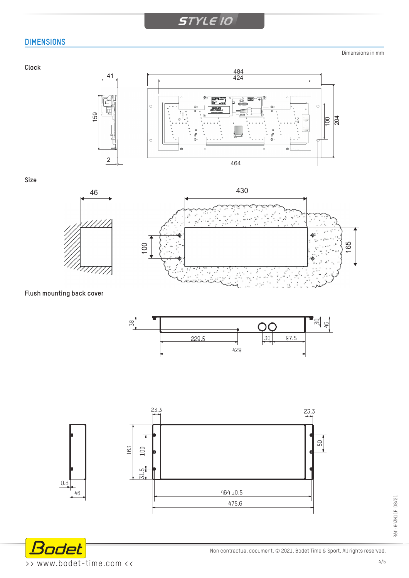## **DIMENSIONS**

**Clock**

Dimensions in mm





**Size**





**Flush mounting back cover**







Non contractual document. © 2021, Bodet Time & Sport. All rights reserved.